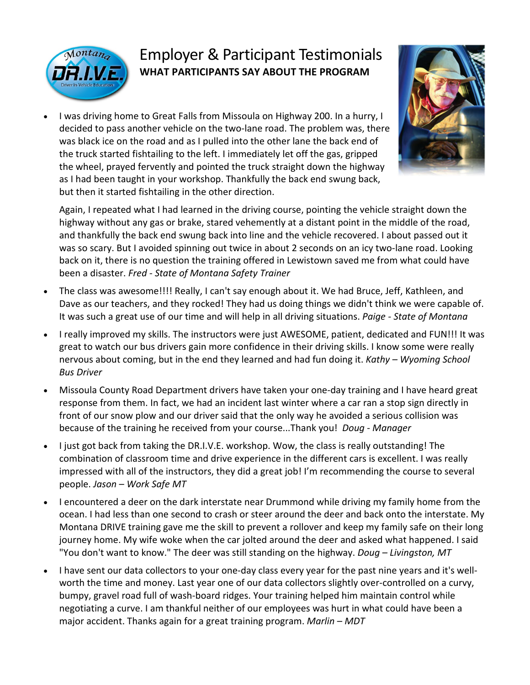

## Employer & Participant Testimonials **WHAT PARTICIPANTS SAY ABOUT THE PROGRAM**

• I was driving home to Great Falls from Missoula on Highway 200. In a hurry, I decided to pass another vehicle on the two-lane road. The problem was, there was black ice on the road and as I pulled into the other lane the back end of the truck started fishtailing to the left. I immediately let off the gas, gripped the wheel, prayed fervently and pointed the truck straight down the highway as I had been taught in your workshop. Thankfully the back end swung back, but then it started fishtailing in the other direction.



Again, I repeated what I had learned in the driving course, pointing the vehicle straight down the highway without any gas or brake, stared vehemently at a distant point in the middle of the road, and thankfully the back end swung back into line and the vehicle recovered. I about passed out it was so scary. But I avoided spinning out twice in about 2 seconds on an icy two-lane road. Looking back on it, there is no question the training offered in Lewistown saved me from what could have been a disaster. *Fred - State of Montana Safety Trainer*

- The class was awesome!!!! Really, I can't say enough about it. We had Bruce, Jeff, Kathleen, and Dave as our teachers, and they rocked! They had us doing things we didn't think we were capable of. It was such a great use of our time and will help in all driving situations. *Paige - State of Montana*
- I really improved my skills. The instructors were just AWESOME, patient, dedicated and FUN!!! It was great to watch our bus drivers gain more confidence in their driving skills. I know some were really nervous about coming, but in the end they learned and had fun doing it. *Kathy – Wyoming School Bus Driver*
- Missoula County Road Department drivers have taken your one-day training and I have heard great response from them. In fact, we had an incident last winter where a car ran a stop sign directly in front of our snow plow and our driver said that the only way he avoided a serious collision was because of the training he received from your course...Thank you! *Doug - Manager*
- I just got back from taking the DR.I.V.E. workshop. Wow, the class is really outstanding! The combination of classroom time and drive experience in the different cars is excellent. I was really impressed with all of the instructors, they did a great job! I'm recommending the course to several people. *Jason – Work Safe MT*
- I encountered a deer on the dark interstate near Drummond while driving my family home from the ocean. I had less than one second to crash or steer around the deer and back onto the interstate. My Montana DRIVE training gave me the skill to prevent a rollover and keep my family safe on their long journey home. My wife woke when the car jolted around the deer and asked what happened. I said "You don't want to know." The deer was still standing on the highway. *Doug – Livingston, MT*
- I have sent our data collectors to your one-day class every year for the past nine years and it's wellworth the time and money. Last year one of our data collectors slightly over-controlled on a curvy, bumpy, gravel road full of wash-board ridges. Your training helped him maintain control while negotiating a curve. I am thankful neither of our employees was hurt in what could have been a major accident. Thanks again for a great training program. *Marlin – MDT*